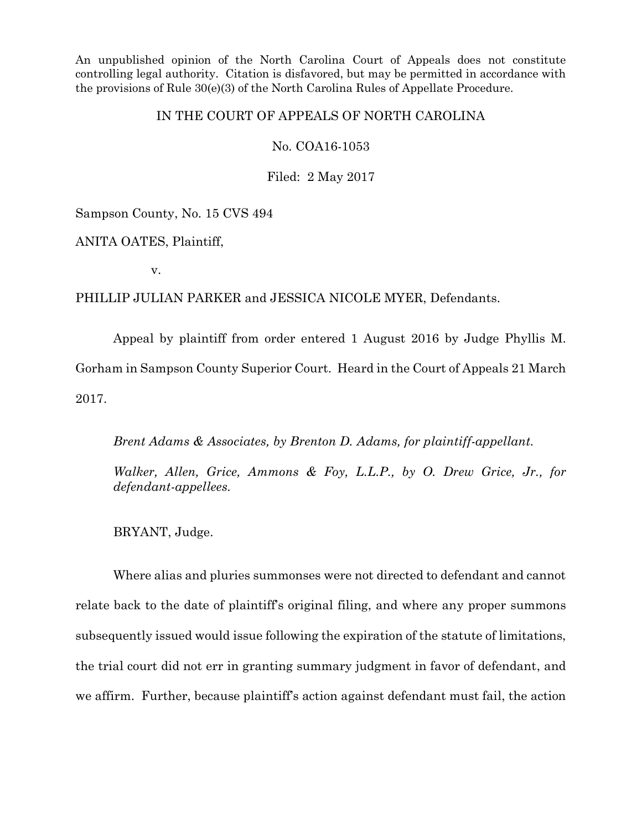An unpublished opinion of the North Carolina Court of Appeals does not constitute controlling legal authority. Citation is disfavored, but may be permitted in accordance with the provisions of Rule 30(e)(3) of the North Carolina Rules of Appellate Procedure.

# IN THE COURT OF APPEALS OF NORTH CAROLINA

## No. COA16-1053

Filed: 2 May 2017

Sampson County, No. 15 CVS 494

ANITA OATES, Plaintiff,

v.

## PHILLIP JULIAN PARKER and JESSICA NICOLE MYER, Defendants.

Appeal by plaintiff from order entered 1 August 2016 by Judge Phyllis M. Gorham in Sampson County Superior Court. Heard in the Court of Appeals 21 March 2017.

*Brent Adams & Associates, by Brenton D. Adams, for plaintiff-appellant.*

*Walker, Allen, Grice, Ammons & Foy, L.L.P., by O. Drew Grice, Jr., for defendant-appellees.*

BRYANT, Judge.

Where alias and pluries summonses were not directed to defendant and cannot relate back to the date of plaintiff's original filing, and where any proper summons subsequently issued would issue following the expiration of the statute of limitations, the trial court did not err in granting summary judgment in favor of defendant, and we affirm. Further, because plaintiff's action against defendant must fail, the action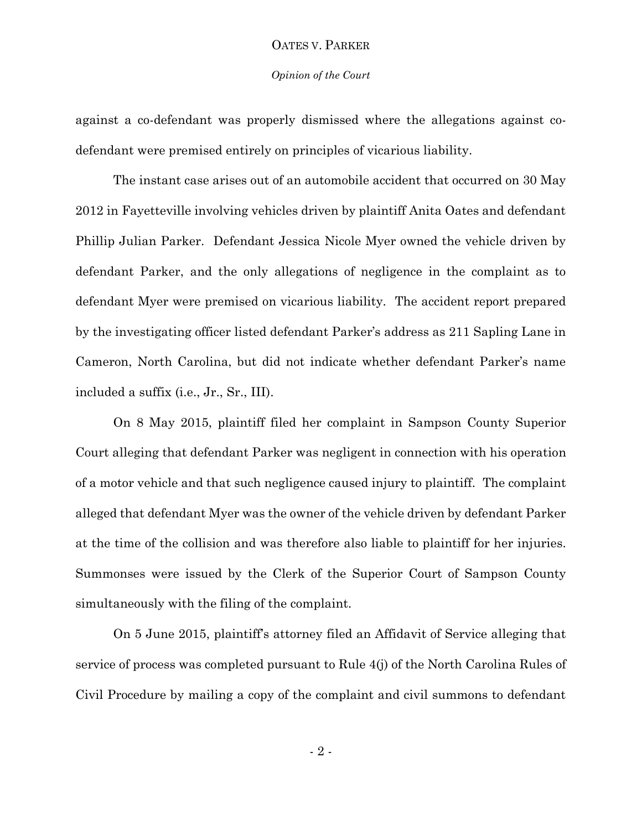#### *Opinion of the Court*

against a co-defendant was properly dismissed where the allegations against codefendant were premised entirely on principles of vicarious liability.

The instant case arises out of an automobile accident that occurred on 30 May 2012 in Fayetteville involving vehicles driven by plaintiff Anita Oates and defendant Phillip Julian Parker. Defendant Jessica Nicole Myer owned the vehicle driven by defendant Parker, and the only allegations of negligence in the complaint as to defendant Myer were premised on vicarious liability. The accident report prepared by the investigating officer listed defendant Parker's address as 211 Sapling Lane in Cameron, North Carolina, but did not indicate whether defendant Parker's name included a suffix (i.e., Jr., Sr., III).

On 8 May 2015, plaintiff filed her complaint in Sampson County Superior Court alleging that defendant Parker was negligent in connection with his operation of a motor vehicle and that such negligence caused injury to plaintiff. The complaint alleged that defendant Myer was the owner of the vehicle driven by defendant Parker at the time of the collision and was therefore also liable to plaintiff for her injuries. Summonses were issued by the Clerk of the Superior Court of Sampson County simultaneously with the filing of the complaint.

On 5 June 2015, plaintiff's attorney filed an Affidavit of Service alleging that service of process was completed pursuant to Rule 4(j) of the North Carolina Rules of Civil Procedure by mailing a copy of the complaint and civil summons to defendant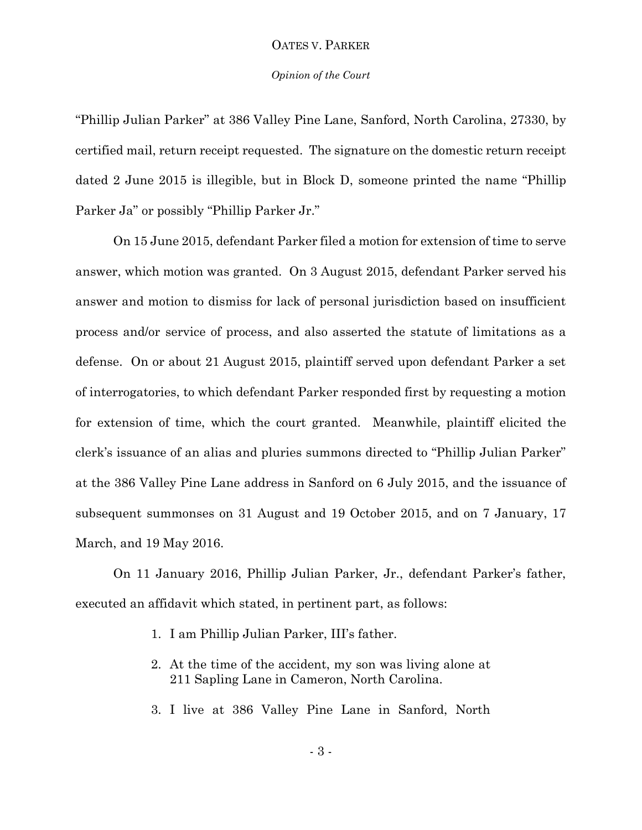#### *Opinion of the Court*

"Phillip Julian Parker" at 386 Valley Pine Lane, Sanford, North Carolina, 27330, by certified mail, return receipt requested. The signature on the domestic return receipt dated 2 June 2015 is illegible, but in Block D, someone printed the name "Phillip Parker Ja" or possibly "Phillip Parker Jr."

On 15 June 2015, defendant Parker filed a motion for extension of time to serve answer, which motion was granted. On 3 August 2015, defendant Parker served his answer and motion to dismiss for lack of personal jurisdiction based on insufficient process and/or service of process, and also asserted the statute of limitations as a defense. On or about 21 August 2015, plaintiff served upon defendant Parker a set of interrogatories, to which defendant Parker responded first by requesting a motion for extension of time, which the court granted. Meanwhile, plaintiff elicited the clerk's issuance of an alias and pluries summons directed to "Phillip Julian Parker" at the 386 Valley Pine Lane address in Sanford on 6 July 2015, and the issuance of subsequent summonses on 31 August and 19 October 2015, and on 7 January, 17 March, and 19 May 2016.

On 11 January 2016, Phillip Julian Parker, Jr., defendant Parker's father, executed an affidavit which stated, in pertinent part, as follows:

- 1. I am Phillip Julian Parker, III's father.
- 2. At the time of the accident, my son was living alone at 211 Sapling Lane in Cameron, North Carolina.
- 3. I live at 386 Valley Pine Lane in Sanford, North

- 3 -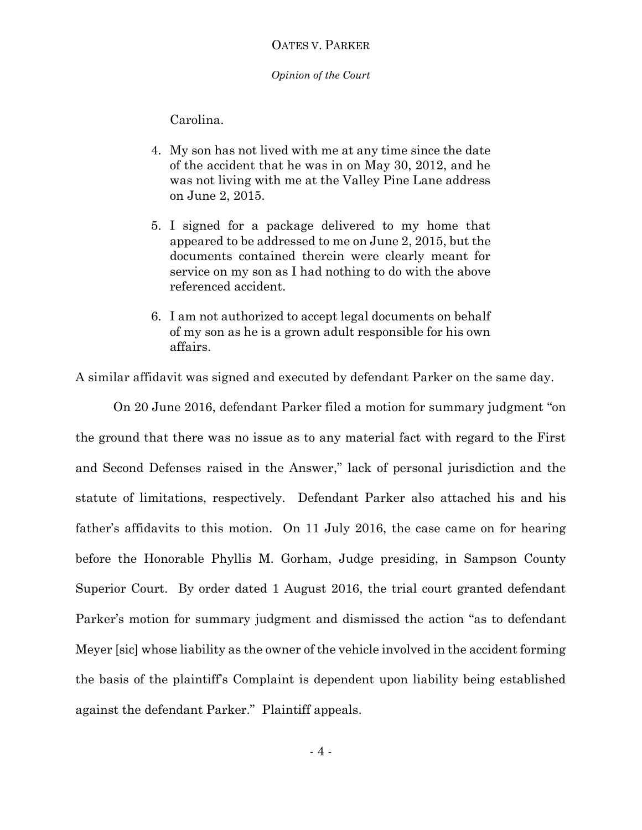*Opinion of the Court*

Carolina.

- 4. My son has not lived with me at any time since the date of the accident that he was in on May 30, 2012, and he was not living with me at the Valley Pine Lane address on June 2, 2015.
- 5. I signed for a package delivered to my home that appeared to be addressed to me on June 2, 2015, but the documents contained therein were clearly meant for service on my son as I had nothing to do with the above referenced accident.
- 6. I am not authorized to accept legal documents on behalf of my son as he is a grown adult responsible for his own affairs.

A similar affidavit was signed and executed by defendant Parker on the same day.

On 20 June 2016, defendant Parker filed a motion for summary judgment "on the ground that there was no issue as to any material fact with regard to the First and Second Defenses raised in the Answer," lack of personal jurisdiction and the statute of limitations, respectively. Defendant Parker also attached his and his father's affidavits to this motion. On 11 July 2016, the case came on for hearing before the Honorable Phyllis M. Gorham, Judge presiding, in Sampson County Superior Court. By order dated 1 August 2016, the trial court granted defendant Parker's motion for summary judgment and dismissed the action "as to defendant Meyer [sic] whose liability as the owner of the vehicle involved in the accident forming the basis of the plaintiff's Complaint is dependent upon liability being established against the defendant Parker." Plaintiff appeals.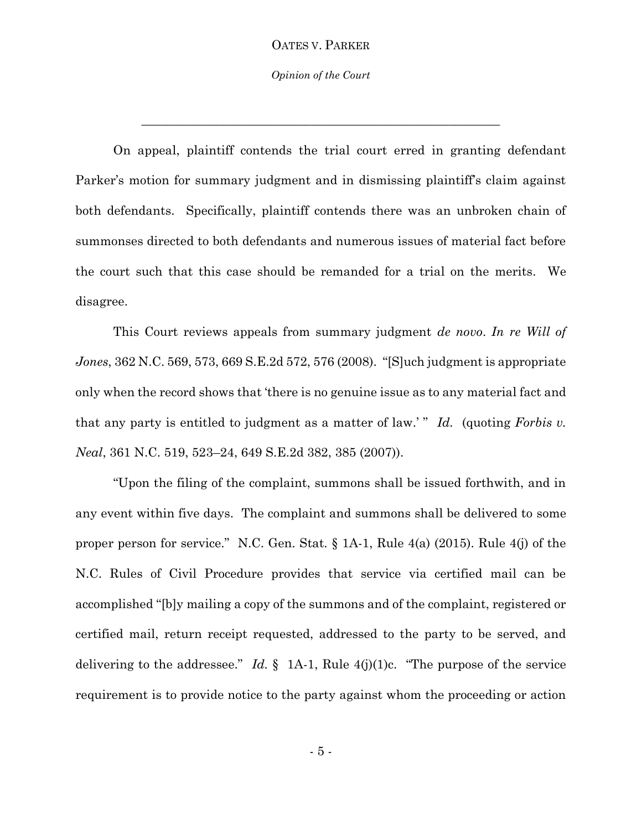*Opinion of the Court*

\_\_\_\_\_\_\_\_\_\_\_\_\_\_\_\_\_\_\_\_\_\_\_\_\_\_\_\_\_\_\_\_\_\_\_\_\_\_\_\_\_\_\_\_\_\_\_\_\_\_\_\_\_\_\_\_\_

On appeal, plaintiff contends the trial court erred in granting defendant Parker's motion for summary judgment and in dismissing plaintiff's claim against both defendants. Specifically, plaintiff contends there was an unbroken chain of summonses directed to both defendants and numerous issues of material fact before the court such that this case should be remanded for a trial on the merits. We disagree.

This Court reviews appeals from summary judgment *de novo*. *In re Will of Jones*, 362 N.C. 569, 573, 669 S.E.2d 572, 576 (2008). "[S]uch judgment is appropriate only when the record shows that 'there is no genuine issue as to any material fact and that any party is entitled to judgment as a matter of law.' " *Id.* (quoting *Forbis v. Neal*, 361 N.C. 519, 523–24, 649 S.E.2d 382, 385 (2007)).

"Upon the filing of the complaint, summons shall be issued forthwith, and in any event within five days. The complaint and summons shall be delivered to some proper person for service." N.C. Gen. Stat. § 1A-1, Rule 4(a) (2015). Rule 4(j) of the N.C. Rules of Civil Procedure provides that service via certified mail can be accomplished "[b]y mailing a copy of the summons and of the complaint, registered or certified mail, return receipt requested, addressed to the party to be served, and delivering to the addressee." *Id.*  $\S$  1A-1, Rule 4(j)(1)c. "The purpose of the service requirement is to provide notice to the party against whom the proceeding or action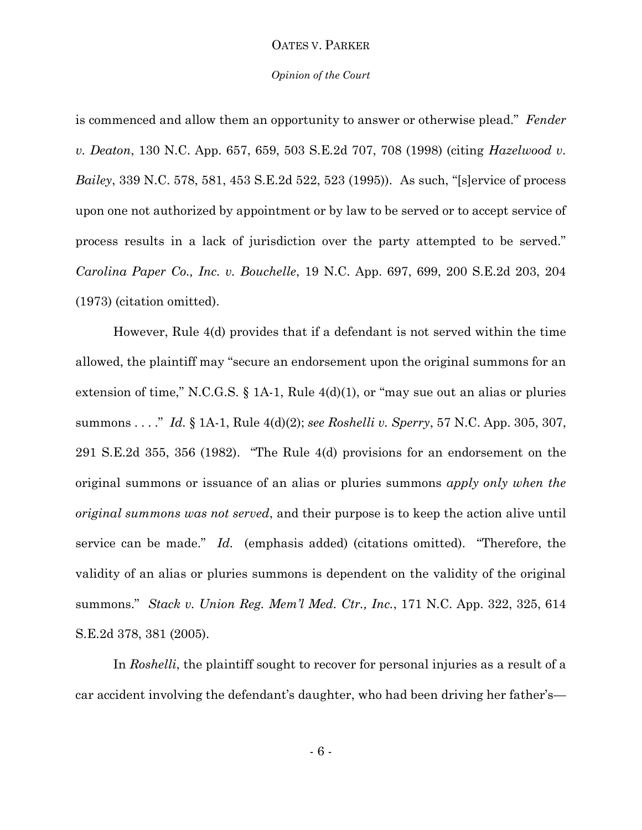#### *Opinion of the Court*

is commenced and allow them an opportunity to answer or otherwise plead." *Fender v. Deaton*, 130 N.C. App. 657, 659, 503 S.E.2d 707, 708 (1998) (citing *Hazelwood v. Bailey*, 339 N.C. 578, 581, 453 S.E.2d 522, 523 (1995)). As such, "[s]ervice of process upon one not authorized by appointment or by law to be served or to accept service of process results in a lack of jurisdiction over the party attempted to be served." *Carolina Paper Co., Inc. v. Bouchelle*, 19 N.C. App. 697, 699, 200 S.E.2d 203, 204 (1973) (citation omitted).

However, Rule 4(d) provides that if a defendant is not served within the time allowed, the plaintiff may "secure an endorsement upon the original summons for an extension of time," N.C.G.S. § 1A-1, Rule 4(d)(1), or "may sue out an alias or pluries summons . . . ." *Id.* § 1A-1, Rule 4(d)(2); *see Roshelli v. Sperry*, 57 N.C. App. 305, 307, 291 S.E.2d 355, 356 (1982). "The Rule 4(d) provisions for an endorsement on the original summons or issuance of an alias or pluries summons *apply only when the original summons was not served*, and their purpose is to keep the action alive until service can be made." *Id.* (emphasis added) (citations omitted). "Therefore, the validity of an alias or pluries summons is dependent on the validity of the original summons." *Stack v. Union Reg. Mem'l Med. Ctr., Inc.*, 171 N.C. App. 322, 325, 614 S.E.2d 378, 381 (2005).

In *Roshelli*, the plaintiff sought to recover for personal injuries as a result of a car accident involving the defendant's daughter, who had been driving her father's—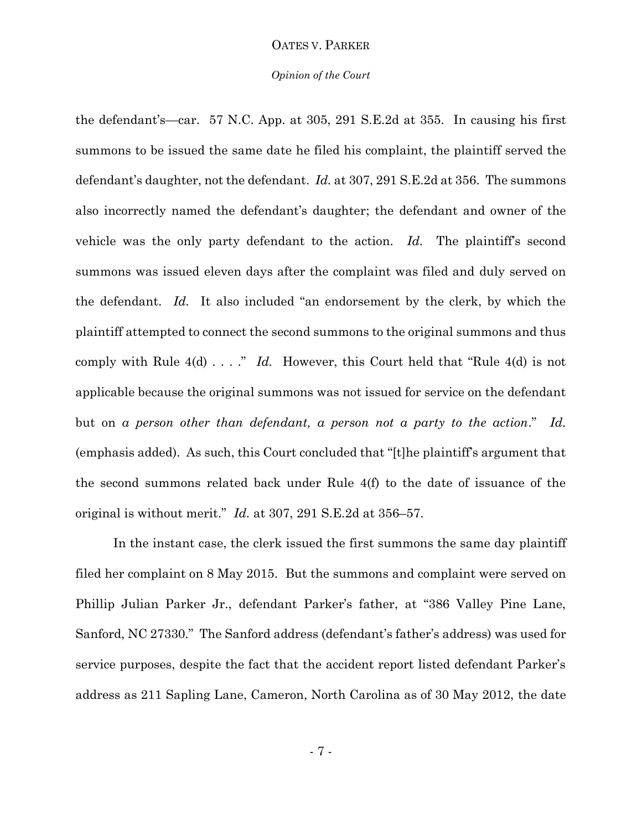#### *Opinion of the Court*

the defendant's—car. 57 N.C. App. at 305, 291 S.E.2d at 355. In causing his first summons to be issued the same date he filed his complaint, the plaintiff served the defendant's daughter, not the defendant. *Id.* at 307, 291 S.E.2d at 356. The summons also incorrectly named the defendant's daughter; the defendant and owner of the vehicle was the only party defendant to the action. *Id*. The plaintiff's second summons was issued eleven days after the complaint was filed and duly served on the defendant. *Id.* It also included "an endorsement by the clerk, by which the plaintiff attempted to connect the second summons to the original summons and thus comply with Rule 4(d) . . . ." *Id.* However, this Court held that "Rule 4(d) is not applicable because the original summons was not issued for service on the defendant but on *a person other than defendant, a person not a party to the action*." *Id.* (emphasis added). As such, this Court concluded that "[t]he plaintiff's argument that the second summons related back under Rule 4(f) to the date of issuance of the original is without merit." *Id.* at 307, 291 S.E.2d at 356–57.

In the instant case, the clerk issued the first summons the same day plaintiff filed her complaint on 8 May 2015. But the summons and complaint were served on Phillip Julian Parker Jr., defendant Parker's father, at "386 Valley Pine Lane, Sanford, NC 27330." The Sanford address (defendant's father's address) was used for service purposes, despite the fact that the accident report listed defendant Parker's address as 211 Sapling Lane, Cameron, North Carolina as of 30 May 2012, the date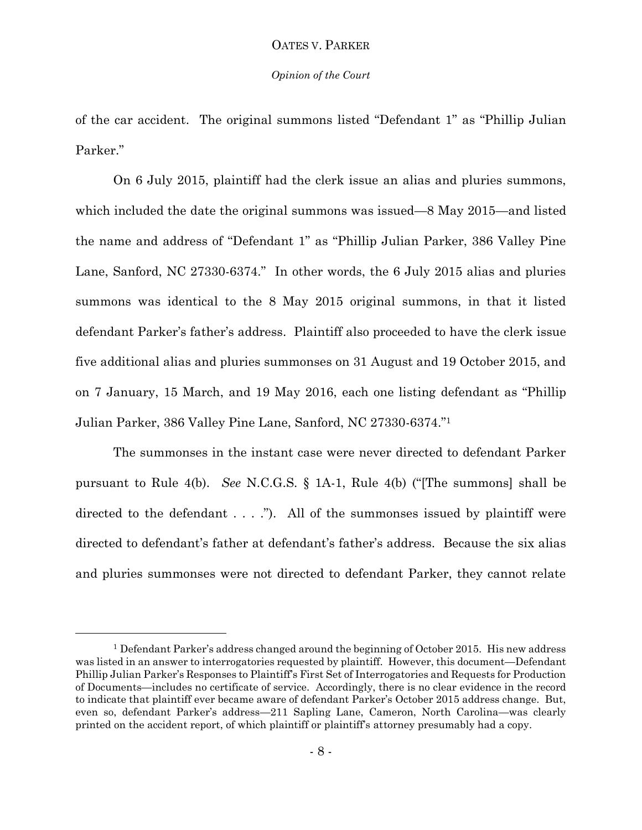#### *Opinion of the Court*

of the car accident. The original summons listed "Defendant 1" as "Phillip Julian Parker."

On 6 July 2015, plaintiff had the clerk issue an alias and pluries summons, which included the date the original summons was issued—8 May 2015—and listed the name and address of "Defendant 1" as "Phillip Julian Parker, 386 Valley Pine Lane, Sanford, NC 27330-6374." In other words, the 6 July 2015 alias and pluries summons was identical to the 8 May 2015 original summons, in that it listed defendant Parker's father's address. Plaintiff also proceeded to have the clerk issue five additional alias and pluries summonses on 31 August and 19 October 2015, and on 7 January, 15 March, and 19 May 2016, each one listing defendant as "Phillip Julian Parker, 386 Valley Pine Lane, Sanford, NC 27330-6374."<sup>1</sup>

The summonses in the instant case were never directed to defendant Parker pursuant to Rule 4(b). *See* N.C.G.S. § 1A-1, Rule 4(b) ("[The summons] shall be directed to the defendant  $\dots$  ."). All of the summonses issued by plaintiff were directed to defendant's father at defendant's father's address. Because the six alias and pluries summonses were not directed to defendant Parker, they cannot relate

 $\overline{a}$ 

<sup>&</sup>lt;sup>1</sup> Defendant Parker's address changed around the beginning of October 2015. His new address was listed in an answer to interrogatories requested by plaintiff. However, this document—Defendant Phillip Julian Parker's Responses to Plaintiff's First Set of Interrogatories and Requests for Production of Documents—includes no certificate of service. Accordingly, there is no clear evidence in the record to indicate that plaintiff ever became aware of defendant Parker's October 2015 address change. But, even so, defendant Parker's address—211 Sapling Lane, Cameron, North Carolina—was clearly printed on the accident report, of which plaintiff or plaintiff's attorney presumably had a copy.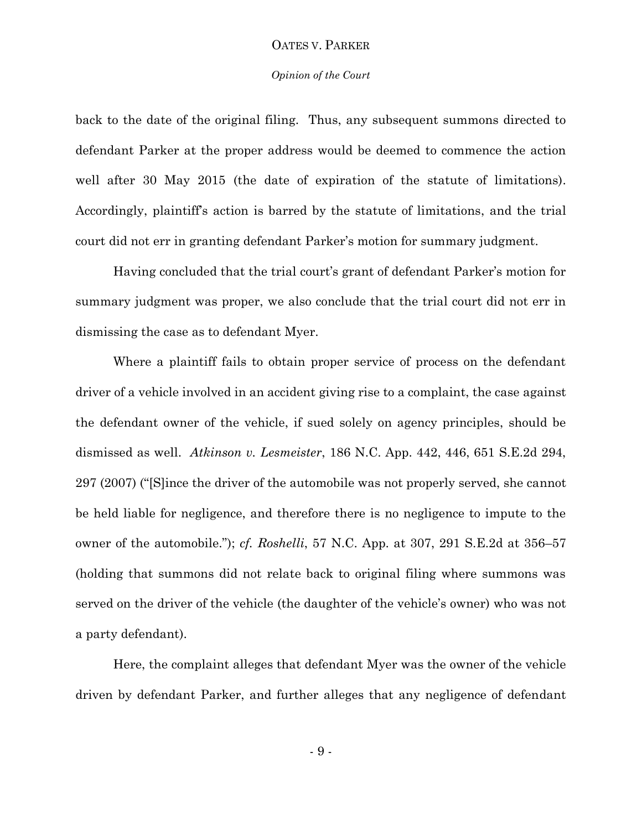#### *Opinion of the Court*

back to the date of the original filing. Thus, any subsequent summons directed to defendant Parker at the proper address would be deemed to commence the action well after 30 May 2015 (the date of expiration of the statute of limitations). Accordingly, plaintiff's action is barred by the statute of limitations, and the trial court did not err in granting defendant Parker's motion for summary judgment.

Having concluded that the trial court's grant of defendant Parker's motion for summary judgment was proper, we also conclude that the trial court did not err in dismissing the case as to defendant Myer.

Where a plaintiff fails to obtain proper service of process on the defendant driver of a vehicle involved in an accident giving rise to a complaint, the case against the defendant owner of the vehicle, if sued solely on agency principles, should be dismissed as well. *Atkinson v. Lesmeister*, 186 N.C. App. 442, 446, 651 S.E.2d 294, 297 (2007) ("[S]ince the driver of the automobile was not properly served, she cannot be held liable for negligence, and therefore there is no negligence to impute to the owner of the automobile."); *cf. Roshelli*, 57 N.C. App. at 307, 291 S.E.2d at 356–57 (holding that summons did not relate back to original filing where summons was served on the driver of the vehicle (the daughter of the vehicle's owner) who was not a party defendant).

Here, the complaint alleges that defendant Myer was the owner of the vehicle driven by defendant Parker, and further alleges that any negligence of defendant